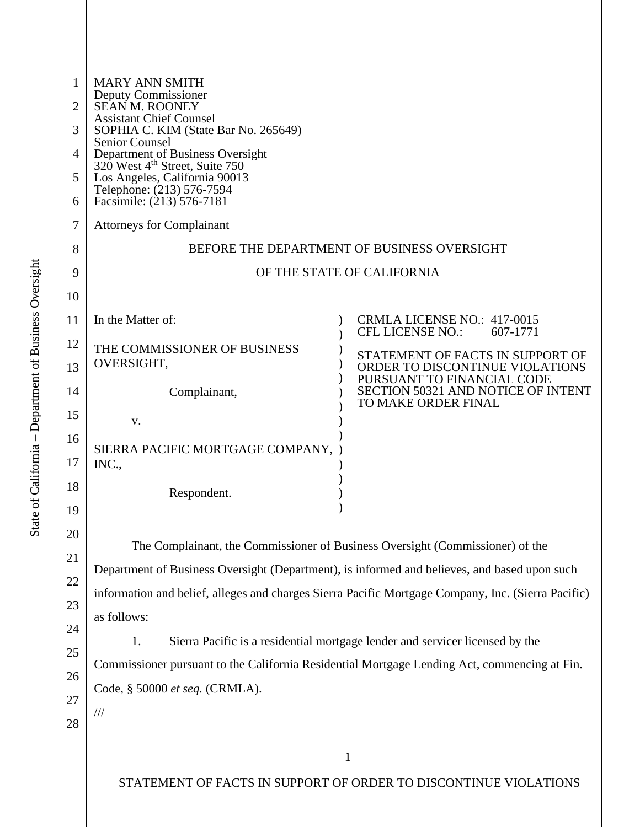| <b>MARY ANN SMITH</b><br>Deputy Commissioner<br><b>SEAN M. ROONEY</b><br><b>Assistant Chief Counsel</b><br>SOPHIA C. KIM (State Bar No. 265649)<br>Senior Counsel<br>Department of Business Oversight<br>320 West 4 <sup>th</sup> Street, Suite 750<br>Los Angeles, California 90013<br>Telephone: (213) 576-7594<br>Facsimile: (213) 576-7181<br><b>Attorneys for Complainant</b> | BEFORE THE DEPARTMENT OF BUSINESS OVERSIGHT                                                                                                                                                                                                                                         |
|------------------------------------------------------------------------------------------------------------------------------------------------------------------------------------------------------------------------------------------------------------------------------------------------------------------------------------------------------------------------------------|-------------------------------------------------------------------------------------------------------------------------------------------------------------------------------------------------------------------------------------------------------------------------------------|
|                                                                                                                                                                                                                                                                                                                                                                                    |                                                                                                                                                                                                                                                                                     |
|                                                                                                                                                                                                                                                                                                                                                                                    | OF THE STATE OF CALIFORNIA                                                                                                                                                                                                                                                          |
| In the Matter of:                                                                                                                                                                                                                                                                                                                                                                  | CRMLA LICENSE NO.: 417-0015<br>CFL LICENSE NO.:<br>607-1771                                                                                                                                                                                                                         |
| THE COMMISSIONER OF BUSINESS<br>OVERSIGHT,                                                                                                                                                                                                                                                                                                                                         | STATEMENT OF FACTS IN SUPPORT OF<br>ORDER TO DISCONTINUE VIOLATIONS                                                                                                                                                                                                                 |
| Complainant,<br>V.                                                                                                                                                                                                                                                                                                                                                                 | PURSUANT TO FINANCIAL CODE<br>SECTION 50321 AND NOTICE OF INTENT<br>TO MAKE ORDER FINAL                                                                                                                                                                                             |
| SIERRA PACIFIC MORTGAGE COMPANY,<br>INC.,                                                                                                                                                                                                                                                                                                                                          |                                                                                                                                                                                                                                                                                     |
| Respondent.                                                                                                                                                                                                                                                                                                                                                                        |                                                                                                                                                                                                                                                                                     |
|                                                                                                                                                                                                                                                                                                                                                                                    | The Complainant, the Commissioner of Business Oversight (Commissioner) of the<br>Department of Business Oversight (Department), is informed and believes, and based upon such<br>information and belief, alleges and charges Sierra Pacific Mortgage Company, Inc. (Sierra Pacific) |
| as follows:<br>1.                                                                                                                                                                                                                                                                                                                                                                  | Sierra Pacific is a residential mortgage lender and servicer licensed by the                                                                                                                                                                                                        |
|                                                                                                                                                                                                                                                                                                                                                                                    | Commissioner pursuant to the California Residential Mortgage Lending Act, commencing at Fin.                                                                                                                                                                                        |
| Code, § 50000 et seq. (CRMLA).<br>///                                                                                                                                                                                                                                                                                                                                              |                                                                                                                                                                                                                                                                                     |
|                                                                                                                                                                                                                                                                                                                                                                                    |                                                                                                                                                                                                                                                                                     |
|                                                                                                                                                                                                                                                                                                                                                                                    | $\mathbf{1}$                                                                                                                                                                                                                                                                        |
|                                                                                                                                                                                                                                                                                                                                                                                    | STATEMENT OF FACTS IN SUPPORT OF ORDER TO DISCONTINUE VIOLATIONS                                                                                                                                                                                                                    |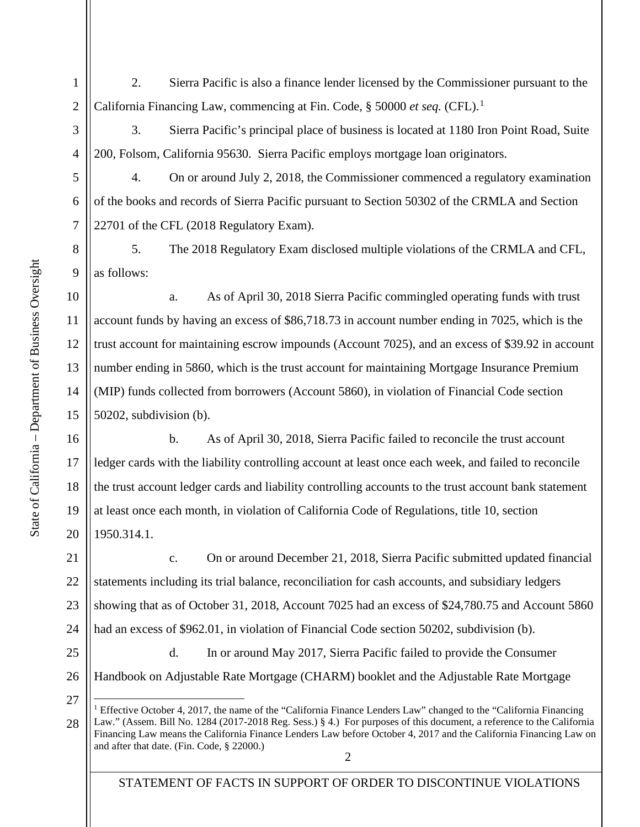2. Sierra Pacific is also a finance lender licensed by the Commissioner pursuant to the California Financing Law, commencing at Fin. Code, § 50000 *et seq.* (CFL). [1](#page-1-0)

3. Sierra Pacific's principal place of business is located at 1180 Iron Point Road, Suite 200, Folsom, California 95630. Sierra Pacific employs mortgage loan originators.

4. On or around July 2, 2018, the Commissioner commenced a regulatory examination of the books and records of Sierra Pacific pursuant to Section 50302 of the CRMLA and Section 22701 of the CFL (2018 Regulatory Exam).

5. The 2018 Regulatory Exam disclosed multiple violations of the CRMLA and CFL, as follows:

a. As of April 30, 2018 Sierra Pacific commingled operating funds with trust account funds by having an excess of \$86,718.73 in account number ending in 7025, which is the trust account for maintaining escrow impounds (Account 7025), and an excess of \$39.92 in account number ending in 5860, which is the trust account for maintaining Mortgage Insurance Premium (MIP) funds collected from borrowers (Account 5860), in violation of Financial Code section 50202, subdivision (b).

b. As of April 30, 2018, Sierra Pacific failed to reconcile the trust account ledger cards with the liability controlling account at least once each week, and failed to reconcile the trust account ledger cards and liability controlling accounts to the trust account bank statement at least once each month, in violation of California Code of Regulations, title 10, section 1950.314.1.

21 22 23 24 c. On or around December 21, 2018, Sierra Pacific submitted updated financial statements including its trial balance, reconciliation for cash accounts, and subsidiary ledgers showing that as of October 31, 2018, Account 7025 had an excess of \$24,780.75 and Account 5860 had an excess of \$962.01, in violation of Financial Code section 50202, subdivision (b).

25 26 d. In or around May 2017, Sierra Pacific failed to provide the Consumer Handbook on Adjustable Rate Mortgage (CHARM) booklet and the Adjustable Rate Mortgage

1

2

3

4

5

6

7

8

9

10

11

12

13

14

15

16

17

18

19

20

STATEMENT OF FACTS IN SUPPORT OF ORDER TO DISCONTINUE VIOLATIONS

<span id="page-1-0"></span><sup>2</sup> 27 28 <sup>1</sup> Effective October 4, 2017, the name of the "California Finance Lenders Law" changed to the "California Financing Law." (Assem. Bill No. 1284 (2017-2018 Reg. Sess.) § 4.) For purposes of this document, a reference to the California Financing Law means the California Finance Lenders Law before October 4, 2017 and the California Financing Law on and after that date. (Fin. Code, § 22000.)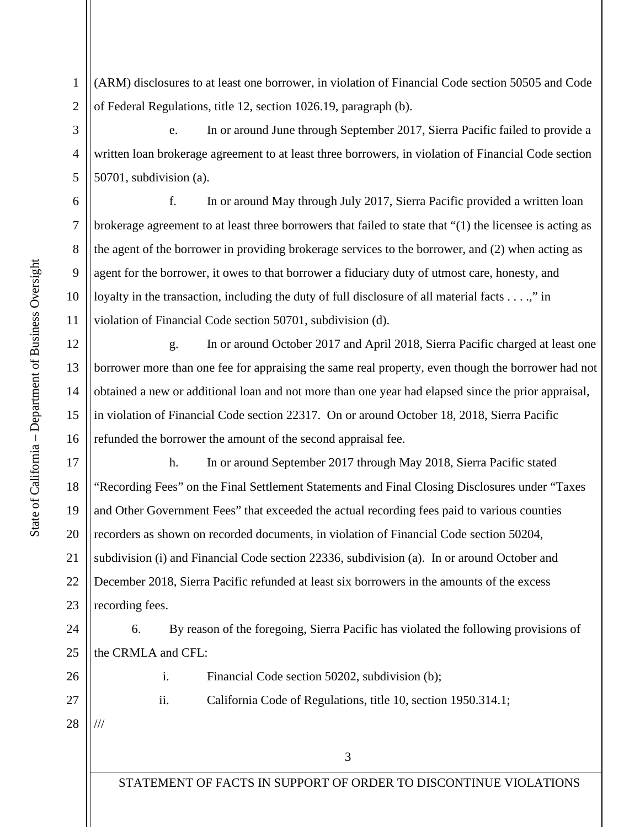1 2 (ARM) disclosures to at least one borrower, in violation of Financial Code section 50505 and Code of Federal Regulations, title 12, section 1026.19, paragraph (b).

e. In or around June through September 2017, Sierra Pacific failed to provide a written loan brokerage agreement to at least three borrowers, in violation of Financial Code section 50701, subdivision (a).

f. In or around May through July 2017, Sierra Pacific provided a written loan brokerage agreement to at least three borrowers that failed to state that "(1) the licensee is acting as the agent of the borrower in providing brokerage services to the borrower, and (2) when acting as agent for the borrower, it owes to that borrower a fiduciary duty of utmost care, honesty, and loyalty in the transaction, including the duty of full disclosure of all material facts . . . .," in violation of Financial Code section 50701, subdivision (d).

g. In or around October 2017 and April 2018, Sierra Pacific charged at least one borrower more than one fee for appraising the same real property, even though the borrower had not obtained a new or additional loan and not more than one year had elapsed since the prior appraisal, in violation of Financial Code section 22317. On or around October 18, 2018, Sierra Pacific refunded the borrower the amount of the second appraisal fee.

17 18 19 20 21 22 23 h. In or around September 2017 through May 2018, Sierra Pacific stated "Recording Fees" on the Final Settlement Statements and Final Closing Disclosures under "Taxes and Other Government Fees" that exceeded the actual recording fees paid to various counties recorders as shown on recorded documents, in violation of Financial Code section 50204, subdivision (i) and Financial Code section 22336, subdivision (a). In or around October and December 2018, Sierra Pacific refunded at least six borrowers in the amounts of the excess recording fees.

24 25 6. By reason of the foregoing, Sierra Pacific has violated the following provisions of the CRMLA and CFL:

26

i. Financial Code section 50202, subdivision (b);

ii. California Code of Regulations, title 10, section 1950.314.1;

28

///

27

3

STATEMENT OF FACTS IN SUPPORT OF ORDER TO DISCONTINUE VIOLATIONS

3

4

5

6

7

8

9

10

11

12

13

14

15

16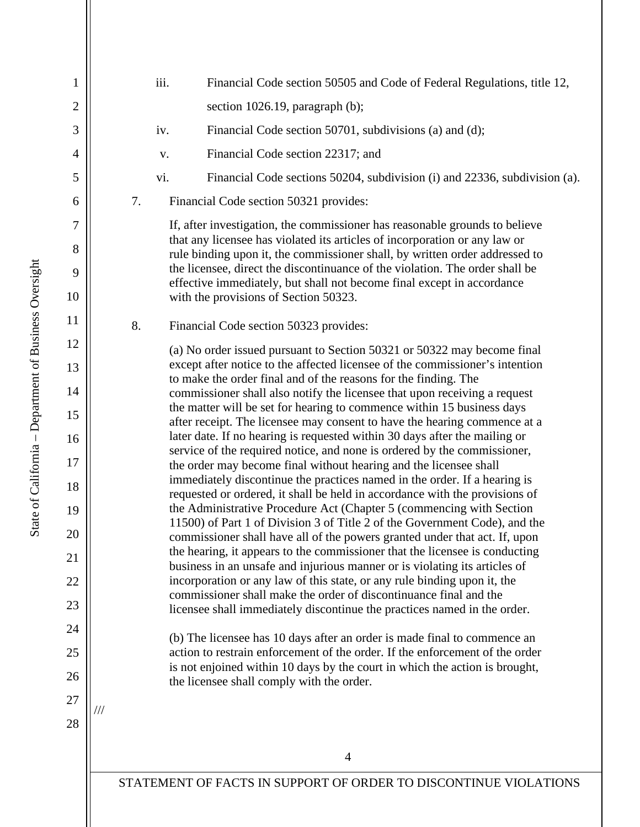4 STATEMENT OF FACTS IN SUPPORT OF ORDER TO DISCONTINUE VIOLATIONS 1 2 3 4 5 6 7 8 9 10 11 12 13 14 15 16 17 18 19 20 21 22 23 24 25 26 27 28 iii. Financial Code section 50505 and Code of Federal Regulations, title 12, section 1026.19, paragraph (b); iv. Financial Code section 50701, subdivisions (a) and (d); v. Financial Code section 22317; and vi. Financial Code sections 50204, subdivision (i) and 22336, subdivision (a). 7. Financial Code section 50321 provides: If, after investigation, the commissioner has reasonable grounds to believe that any licensee has violated its articles of incorporation or any law or rule binding upon it, the commissioner shall, by written order addressed to the licensee, direct the discontinuance of the violation. The order shall be effective immediately, but shall not become final except in accordance with the provisions of [Section 50323.](https://advance.lexis.com/search/?pdmfid=1000516&crid=2c1d1bae-e9e8-481d-b7cb-e46c98a8dced&pdsearchterms=cal+fin+code+50321&pdstartin=hlct%3A1%3A1&pdtypeofsearch=searchboxclick&pdsearchtype=SearchBox&pdqttype=or&pdquerytemplateid=&ecomp=5gd6k&prid=cd07fcfb-5d6d-4b7f-9a6d-aca7ff0478a3) 8. Financial Code section 50323 provides: (a) No order issued pursuant to Section 50321 or 50322 may become final except after notice to the affected licensee of the commissioner's intention to make the order final and of the reasons for the finding. The commissioner shall also notify the licensee that upon receiving a request the matter will be set for hearing to commence within 15 business days after receipt. The licensee may consent to have the hearing commence at a later date. If no hearing is requested within 30 days after the mailing or service of the required notice, and none is ordered by the commissioner, the order may become final without hearing and the licensee shall immediately discontinue the practices named in the order. If a hearing is requested or ordered, it shall be held in accordance with the provisions of the Administrative Procedure Act (Chapter 5 (commencing with Section 11500) of Part 1 of Division 3 of Title 2 of the Government Code), and the commissioner shall have all of the powers granted under that act. If, upon the hearing, it appears to the commissioner that the licensee is conducting business in an unsafe and injurious manner or is violating its articles of incorporation or any law of this state, or any rule binding upon it, the commissioner shall make the order of discontinuance final and the licensee shall immediately discontinue the practices named in the order. (b) The licensee has 10 days after an order is made final to commence an action to restrain enforcement of the order. If the enforcement of the order is not enjoined within 10 days by the court in which the action is brought, the licensee shall comply with the order. ///